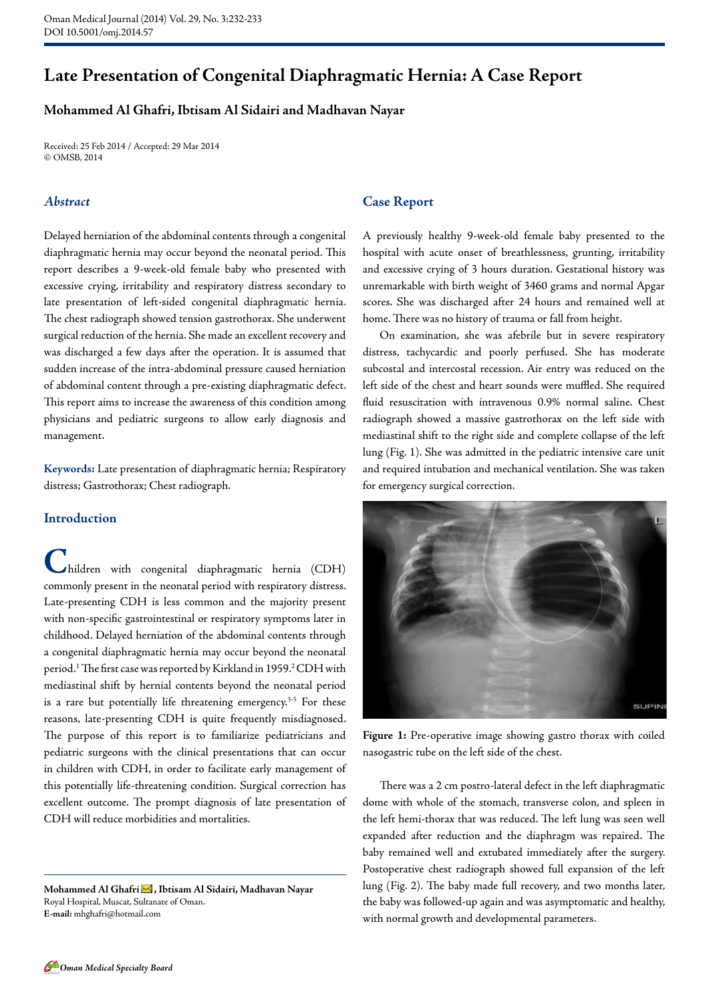# **Late Presentation of Congenital Diaphragmatic Hernia: A Case Report**

## **Mohammed Al Ghafri, Ibtisam Al Sidairi and Madhavan Nayar**

Received: 25 Feb 2014 / Accepted: 29 Mar 2014 © OMSB, 2014

## *Abstract*

Delayed herniation of the abdominal contents through a congenital diaphragmatic hernia may occur beyond the neonatal period. This report describes a 9-week-old female baby who presented with excessive crying, irritability and respiratory distress secondary to late presentation of left-sided congenital diaphragmatic hernia. The chest radiograph showed tension gastrothorax. She underwent surgical reduction of the hernia. She made an excellent recovery and was discharged a few days after the operation. It is assumed that sudden increase of the intra-abdominal pressure caused herniation of abdominal content through a pre-existing diaphragmatic defect. This report aims to increase the awareness of this condition among physicians and pediatric surgeons to allow early diagnosis and management.

**Keywords:** Late presentation of diaphragmatic hernia; Respiratory distress; Gastrothorax; Chest radiograph.

## **Introduction**

**C**hildren with congenital diaphragmatic hernia (CDH) commonly present in the neonatal period with respiratory distress. Late-presenting CDH is less common and the majority present with non-specific gastrointestinal or respiratory symptoms later in childhood. Delayed herniation of the abdominal contents through a congenital diaphragmatic hernia may occur beyond the neonatal period.<sup>1</sup> The first case was reported by Kirkland in 1959.<sup>2</sup> CDH with mediastinal shift by hernial contents beyond the neonatal period is a rare but potentially life threatening emergency.<sup>3-5</sup> For these reasons, late-presenting CDH is quite frequently misdiagnosed. The purpose of this report is to familiarize pediatricians and pediatric surgeons with the clinical presentations that can occur in children with CDH, in order to facilitate early management of this potentially life-threatening condition. Surgical correction has excellent outcome. The prompt diagnosis of late presentation of CDH will reduce morbidities and mortalities.

Mohammed Al Ghafri **M**, Ibtisam Al Sidairi, Madhavan Nayar Royal Hospital, Muscat, Sultanate of Oman. **E-mail:** mhghafri@hotmail.com

### **Case Report**

A previously healthy 9-week-old female baby presented to the hospital with acute onset of breathlessness, grunting, irritability and excessive crying of 3 hours duration. Gestational history was unremarkable with birth weight of 3460 grams and normal Apgar scores. She was discharged after 24 hours and remained well at home. There was no history of trauma or fall from height.

On examination, she was afebrile but in severe respiratory distress, tachycardic and poorly perfused. She has moderate subcostal and intercostal recession. Air entry was reduced on the left side of the chest and heart sounds were muffled. She required fluid resuscitation with intravenous 0.9% normal saline. Chest radiograph showed a massive gastrothorax on the left side with mediastinal shift to the right side and complete collapse of the left lung (Fig. 1). She was admitted in the pediatric intensive care unit and required intubation and mechanical ventilation. She was taken for emergency surgical correction.



**Figure 1:** Pre-operative image showing gastro thorax with coiled nasogastric tube on the left side of the chest.

There was a 2 cm postro-lateral defect in the left diaphragmatic dome with whole of the stomach, transverse colon, and spleen in the left hemi-thorax that was reduced. The left lung was seen well expanded after reduction and the diaphragm was repaired. The baby remained well and extubated immediately after the surgery. Postoperative chest radiograph showed full expansion of the left lung (Fig. 2). The baby made full recovery, and two months later, the baby was followed-up again and was asymptomatic and healthy, with normal growth and developmental parameters.